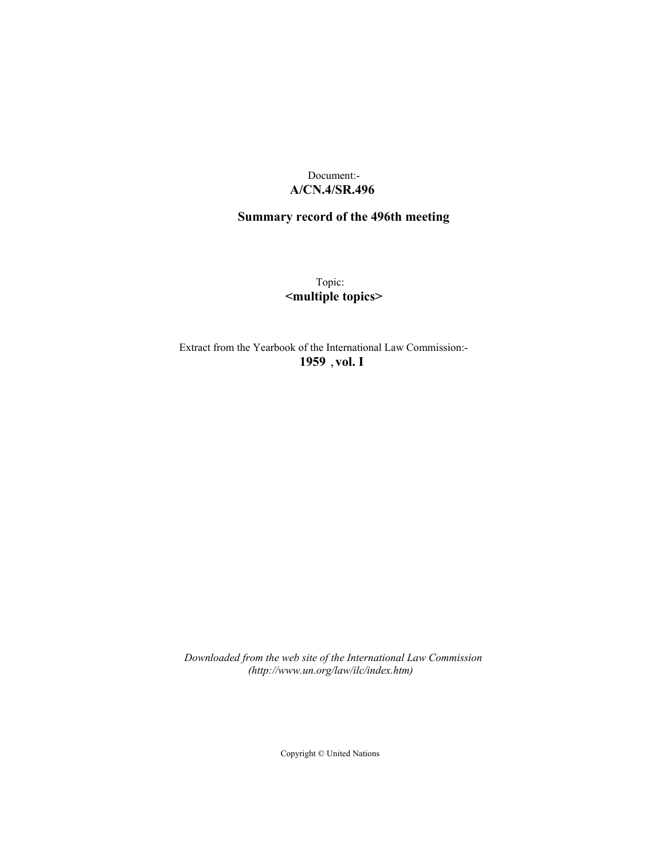## Document:- **A/CN.4/SR.496**

# **Summary record of the 496th meeting**

Topic: **<multiple topics>**

Extract from the Yearbook of the International Law Commission:- **1959** ,**vol. I**

*Downloaded from the web site of the International Law Commission (http://www.un.org/law/ilc/index.htm)*

Copyright © United Nations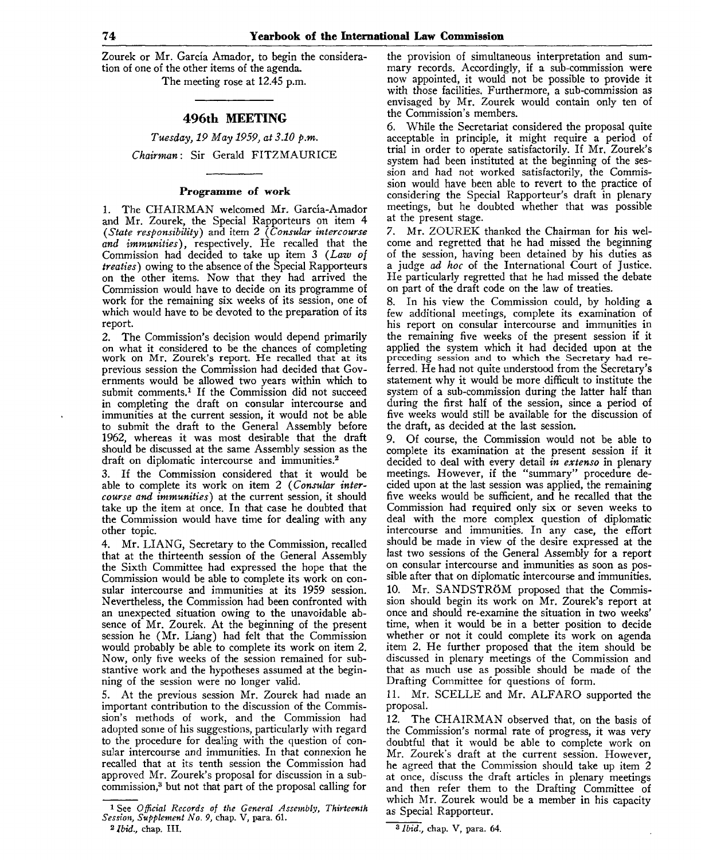Zourek or Mr. Garcia Amador, to begin the consideration of one of the other items of the agenda. The meeting rose at 12.45 p.m.

### **496th MEETING**

*Tuesday, 19 May 1959, at 3.10 p.m. Chairman:* Sir Gerald FITZMAURICE

#### Programme of work

1. The CHAIRMAN welcomed Mr. Garcia-Amador and Mr. Zourek, the Special Rapporteurs on item 4 *{State responsibility)* and item 2 *{Consular intercourse and immunities),* respectively. He recalled that the Commission had decided to take up item 3 *{Law of treaties)* owing to the absence of the Special Rapporteurs on the other items. Now that they had arrived the Commission would have to decide on its programme of work for the remaining six weeks of its session, one of which would have to be devoted to the preparation of its report.

2. The Commission's decision would depend primarily on what it considered to be the chances of completing work on Mr. Zourek's report. He recalled that at its previous session the Commission had decided that Governments would be allowed two years within which to submit comments.<sup>1</sup> If the Commission did not succeed in completing the draft on consular intercourse and immunities at the current session, it would not be able to submit the draft to the General Assembly before 1962, whereas it was most desirable that the draft should be discussed at the same Assembly session as the draft on diplomatic intercourse and immunities.<sup>2</sup>

3. If the Commission considered that it would be able to complete its work on item 2 *{Consular intercourse and immunities)* at the current session, it should take up the item at once. In that case he doubted that the Commission would have time for dealing with any other topic.

4. Mr. LIANG, Secretary to the Commission, recalled that at the thirteenth session of the General Assembly the Sixth Committee had expressed the hope that the Commission would be able to complete its work on consular intercourse and immunities at its 1959 session. Nevertheless, the Commission had been confronted with an unexpected situation owing to the unavoidable absence of Mr. Zourek. At the beginning of the present session he (Mr. Liang) had felt that the Commission would probably be able to complete its work on item 2. Now, only five weeks of the session remained for substantive work and the hypotheses assumed at the beginning of the session were no longer valid.

5. At the previous session Mr. Zourek had made an important contribution to the discussion of the Commission's methods of work, and the Commission had adopted some of his suggestions, particularly with regard to the procedure for dealing with the question of consular intercourse and immunities. In that connexion he recalled that at its tenth session the Commission had approved Mr. Zourek's proposal for discussion in a subcommission,<sup>3</sup> but not that part of the proposal calling for

the provision of simultaneous interpretation and summary records. Accordingly, if a sub-commission were now appointed, it would not be possible to provide it with those facilities. Furthermore, a sub-commission as envisaged by Mr. Zourek would contain only ten of the Commission's members.

While the Secretariat considered the proposal quite acceptable in principle, it might require a period of trial in order to operate satisfactorily. If Mr. Zourek's system had been instituted at the beginning of the session and had not worked satisfactorily, the Commission would have been able to revert to the practice of considering the Special Rapporteur's draft in plenary meetings, but he doubted whether that was possible at the present stage.

*7.* Mr. ZOUREK thanked the Chairman for his welcome and regretted that he had missed the beginning of the session, having been detained by his duties as a judge *ad hoc* of the International Court of Justice. He particularly regretted that he had missed the debate on part of the draft code on the law of treaties.

8. In his view the Commission could, by holding a few additional meetings, complete its examination of his report on consular intercourse and immunities in the remaining five weeks of the present session if it applied the system which it had decided upon at the preceding session and to which the Secretary had referred. He had not quite understood from the Secretary's statement why it would be more difficult to institute the system of a sub-commission during the latter half than during the first half of the session, since a period of five weeks would still be available for the discussion of the draft, as decided at the last session.

9. Of course, the Commission would not be able to complete its examination at the present session if it decided to deal with every detail *in extenso* in plenary meetings. However, if the "summary" procedure decided upon at the last session was applied, the remaining five weeks would be sufficient, and he recalled that the Commission had required only six or seven weeks to deal with the more complex question of diplomatic intercourse and immunities. In any case, the effort should be made in view of the desire expressed at the last two sessions of the General Assembly for a report on consular intercourse and immunities as soon as possible after that on diplomatic intercourse and immunities.

10. Mr. SANDSTRÖM proposed that the Commission should begin its work on Mr. Zourek's report at once and should re-examine the situation in two weeks' time, when it would be in a better position to decide whether or not it could complete its work on agenda item 2. He further proposed that the item should be discussed in plenary meetings of the Commission and that as much use as possible should be made of the Drafting Committee for questions of form.

11. Mr. SCELLE and Mr. ALFARO supported the proposal.

12. The CHAIRMAN observed that, on the basis of the Commission's normal rate of progress, it was very doubtful that it would be able to complete work on Mr. Zourek's draft at the current session. However, he agreed that the Commission should take up item 2 at once, discuss the draft articles in plenary meetings and then refer them to the Drafting Committee of which Mr. Zourek would be a member in his capacity as Special Rapporteur.

<sup>1</sup> See *Official Records of the General Assembly, Thirteenth Session, Supplement No. 9,* chap. V, para. 61.

<sup>2</sup>  *Ibid.,* chap. III.

<sup>3</sup>  *Ibid.,* chap. V, para. 64.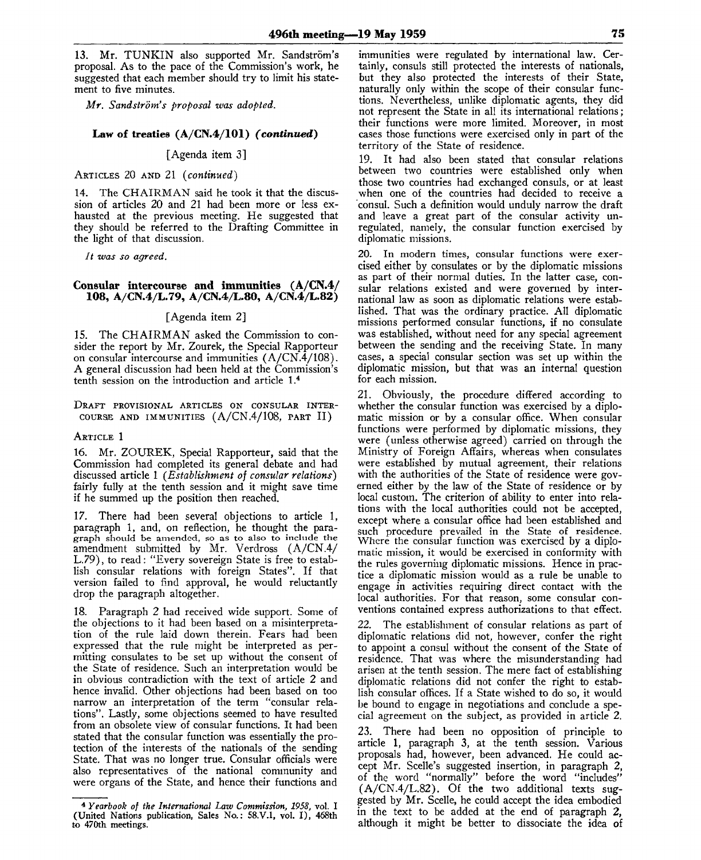13. Mr. TUNKIN also supported Mr. Sandström's proposal. As to the pace of the Commission's work, he suggested that each member should try to limit his statement to five minutes.

*Mr. Sandstrom's proposal was adopted.*

#### **Law of treaties (A/CN.4/101)** *(continued)*

[Agenda item 3]

ARTICLES 20 AND 21 *(continued)*

14. The CHAIRMAN said he took it that the discussion of articles 20 and 21 had been more or less exhausted at the previous meeting. He suggested that they should be referred to the Drafting Committee in the light of that discussion.

*It was so agreed.* 

#### **Consular intercourse and immunities (A/CN.4/ 108, A/CN.4/L.79, A/CN.4/L.80, A/CN.4/L.82)**

#### [Agenda item 2]

15. The CHAIRMAN asked the Commission to consider the report by Mr. Zourek, the Special Rapporteur on consular intercourse and immunities (A/CN.4/108). A general discussion had been held at the Commission's tenth session on the introduction and article I.<sup>4</sup>

#### DRAFT PROVISIONAL ARTICLES ON CONSULAR INTER-COURSE AND IMMUNITIES (A/CN.4/108, PART II)

#### ARTICLE 1

16. Mr. ZOUREK, Special Rapporteur, said that the Commission had completed its general debate and had discussed article 1 *(Establishment of consular relations)* fairly fully at the tenth session and it might save time if he summed up the position then reached.

17. There had been several objections to article 1, paragraph 1, and, on reflection, he thought the paragraph should be amended, so as to also to include the amendment submitted by Mr. Verdross (A/CN.4/ L.79), to read: "Every sovereign State is free to establish consular relations with foreign States". If that version failed to find approval, he would reluctantly drop the paragraph altogether.

18. Paragraph 2 had received wide support. Some of the objections to it had been based on a misinterpretation of the rule laid down therein. Fears had been expressed that the rule might be interpreted as permitting consulates to be set up without the consent of the State of residence. Such an interpretation would be in obvious contradiction with the text of article 2 and hence invalid. Other objections had been based on too narrow an interpretation of the term "consular relations". Lastly, some objections seemed to have resulted from an obsolete view of consular functions. It had been stated that the consular function was essentially the protection of the interests of the nationals of the sending State. That was no longer true. Consular officials were also representatives of the national community and were organs of the State, and hence their functions and

immunities were regulated by international law. Certainly, consuls still protected the interests of nationals, but they also protected the interests of their State, naturally only within the scope of their consular functions. Nevertheless, unlike diplomatic agents, they did not represent the State in all its international relations; their functions were more limited. Moreover, in most cases those functions were exercised only in part of the territory of the State of residence.

19. It had also been stated that consular relations between two countries were established only when those two countries had exchanged consuls, or at least when one of the countries had decided to receive a consul. Such a definition would unduly narrow the draft and leave a great part of the consular activity unregulated, namely, the consular function exercised by diplomatic missions.

20. In modern times, consular functions were exercised either by consulates or by the diplomatic missions as part of their normal duties. In the latter case, consular relations existed and were governed by international law as soon as diplomatic relations were established. That was the ordinary practice. All diplomatic missions performed consular functions, if no consulate was established, without need for any special agreement between the sending and the receiving State. In many cases, a special consular section was set up within the diplomatic mission, but that was an internal question for each mission.

21. Obviously, the procedure differed according to whether the consular function was exercised by a diplomatic mission or by a consular office. When consular functions were performed by diplomatic missions, they were (unless otherwise agreed) carried on through the Ministry of Foreign Affairs, whereas when consulates were established by mutual agreement, their relations with the authorities of the State of residence were governed either by the law of the State of residence or by local custom. The criterion of ability to enter into relations with the local authorities could not be accepted, except where a consular office had been established and such procedure prevailed in the State of residence. Where the consular function was exercised by a diplomatic mission, it would be exercised in conformity with the rules governing diplomatic missions. Hence in practice a diplomatic mission would as a rule be unable to engage in activities requiring direct contact with the local authorities. For that reason, some consular conventions contained express authorizations to that effect.

The establishment of consular relations as part of diplomatic relations did not, however, confer the right to appoint a consul without the consent of the State of residence. That was where the misunderstanding had arisen at the tenth session. The mere fact of establishing diplomatic relations did not confer the right to establish consular offices. If a State wished to do so, it would be bound to engage in negotiations and conclude a special agreement on the subject, as provided in article 2.

23. There had been no opposition of principle to article 1, paragraph 3, at the tenth session. Various proposals had, however, been advanced. He could accept Mr. Scelle's suggested insertion, in paragraph 2, of the word "normally" before the word "includes" (A/CN.4/L.82). Of the two additional texts suggested by Mr. Scelle, he could accept the idea embodied in the text to be added at the end of paragraph 2, although it might be better to dissociate the idea of

<sup>4</sup>  *Yearbook of the International Law Commission, 1958,* vol. I (United Nations publication, Sales No.: 58.V.I, vol. I), 468th to 470th meetings.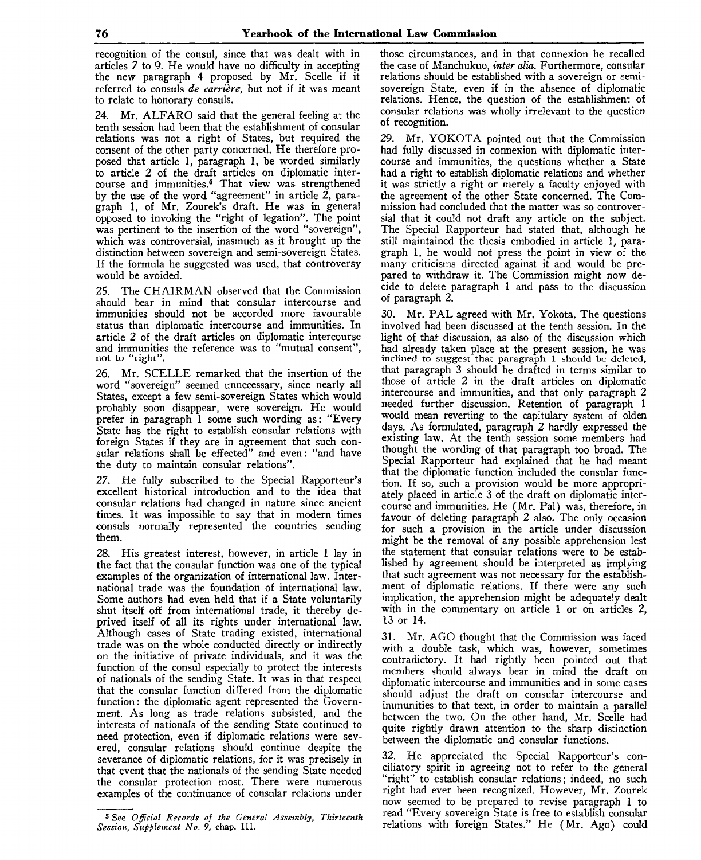recognition of the consul, since that was dealt with in articles *7* to 9. He would have no difficulty in accepting the new paragraph 4 proposed by Mr. Scelle if it referred to consuls *de carriere,* but not if it was meant to relate to honorary consuls.

24. Mr. ALFARO said that the general feeling at the tenth session had been that the establishment of consular relations was not a right of States, but required the consent of the other party concerned. He therefore proposed that article 1, paragraph 1, be worded similarly to article 2 of the draft articles on diplomatic intercourse and immunities.<sup>5</sup> That view was strengthened by the use of the word "agreement" in article 2, paragraph 1, of Mr. Zourek's draft. He was in general opposed to invoking the "right of legation". The point was pertinent to the insertion of the word "sovereign", which was controversial, inasmuch as it brought up the distinction between sovereign and semi-sovereign States. If the formula he suggested was used, that controversy would be avoided.

25. The CHAIRMAN observed that the Commission should bear in mind that consular intercourse and immunities should not be accorded more favourable status than diplomatic intercourse and immunities. In article 2 of the draft articles on diplomatic intercourse and immunities the reference was to "mutual consent", not to "right".

26. Mr. SCELLE remarked that the insertion of the word "sovereign" seemed unnecessary, since nearly all States, except a few semi-sovereign States which would probably soon disappear, were sovereign. He would prefer in paragraph 1 some such wording as: "Every State has the right to establish consular relations with foreign States if they are in agreement that such consular relations shall be effected" and even: "and have the duty to maintain consular relations".

*27.* He fully subscribed to the Special Rapporteur's excellent historical introduction and to the idea that consular relations had changed in nature since ancient times. It was impossible to say that in modern times consuls normally represented the countries sending them.

28. His greatest interest, however, in article 1 lay in the fact that the consular function was one of the typical examples of the organization of international law. International trade was the foundation of international law. Some authors had even held that if a State voluntarily shut itself off from international trade, it thereby deprived itself of all its rights under international law. Although cases of State trading existed, international trade was on the whole conducted directly or indirectly on the initiative of private individuals, and it was the function of the consul especially to protect the interests of nationals of the sending State. It was in that respect that the consular function differed from the diplomatic function: the diplomatic agent represented the Government. As long as trade relations subsisted, and the interests of nationals of the sending State continued to need protection, even if diplomatic relations were severed, consular relations should continue despite the severance of diplomatic relations, for it was precisely in that event that the nationals of the sending State needed the consular protection most. There were numerous examples of the continuance of consular relations under those circumstances, and in that connexion he recalled the case of Manchukuo, *inter alia.* Furthermore, consular relations should be established with a sovereign or semisovereign State, even if in the absence of diplomatic relations. Hence, the question of the establishment of consular relations was wholly irrelevant to the question of recognition.

29. Mr. YOKOTA pointed out that the Commission had fully discussed in connexion with diplomatic intercourse and immunities, the questions whether a State had a right to establish diplomatic relations and whether it was strictly a right or merely a faculty enjoyed with the agreement of the other State concerned. The Commission had concluded that the matter was so controversial that it could not draft any article on the subject. The Special Rapporteur had stated that, although he still maintained the thesis embodied in article 1, paragraph 1, he would not press the point in view of the many criticisms directed against it and would be prepared to withdraw it. The Commission might now decide to delete paragraph 1 and pass to the discussion of paragraph 2.

30. Mr. PAL agreed with Mr. Yokota. The questions involved had been discussed at the tenth session. In the light of that discussion, as also of the discussion which had already taken place at the present session, he was inclined to suggest that paragraph 1 should be deleted, that paragraph 3 should be drafted in terms similar to those of article 2 in the draft articles on diplomatic intercourse and immunities, and that only paragraph 2 needed further discussion. Retention of paragraph 1 would mean reverting to the capitulary system of olden days. As formulated, paragraph 2 hardly expressed the existing law. At the tenth session some members had thought the wording of that paragraph too broad. The Special Rapporteur had explained that he had meant that the diplomatic function included the consular function. If so, such a provision would be more appropriately placed in article 3 of the draft on diplomatic intercourse and immunities. He (Mr. Pal) was, therefore, in favour of deleting paragraph 2 also. The only occasion for such a provision in the article under discussion might be the removal of any possible apprehension lest the statement that consular relations were to be established by agreement should be interpreted as implying that such agreement was not necessary for the establishment of diplomatic relations. If there were any such implication, the apprehension might be adequately dealt with in the commentary on article 1 or on articles 2, 13 or 14.

31. Mr. AGO thought that the Commission was faced with a double task, which was, however, sometimes contradictory. It had rightly been pointed out that members should always bear in mind the draft on diplomatic intercourse and immunities and in some cases should adjust the draft on consular intercourse and immunities to that text, in order to maintain a parallel between the two. On the other hand, Mr. Scelle had quite rightly drawn attention to the sharp distinction between the diplomatic and consular functions.

32. He appreciated the Special Rapporteur's conciliatory spirit in agreeing not to refer to the general "right" to establish consular relations; indeed, no such right had ever been recognized. However, Mr. Zourek now seemed to be prepared to revise paragraph 1 to read "Every sovereign State is free to establish consular relations with foreign States." He (Mr. Ago) could

<sup>5</sup> See *Official Records of the General Assembly, Thirteenth Session, Supplement No. 9,* chap. III.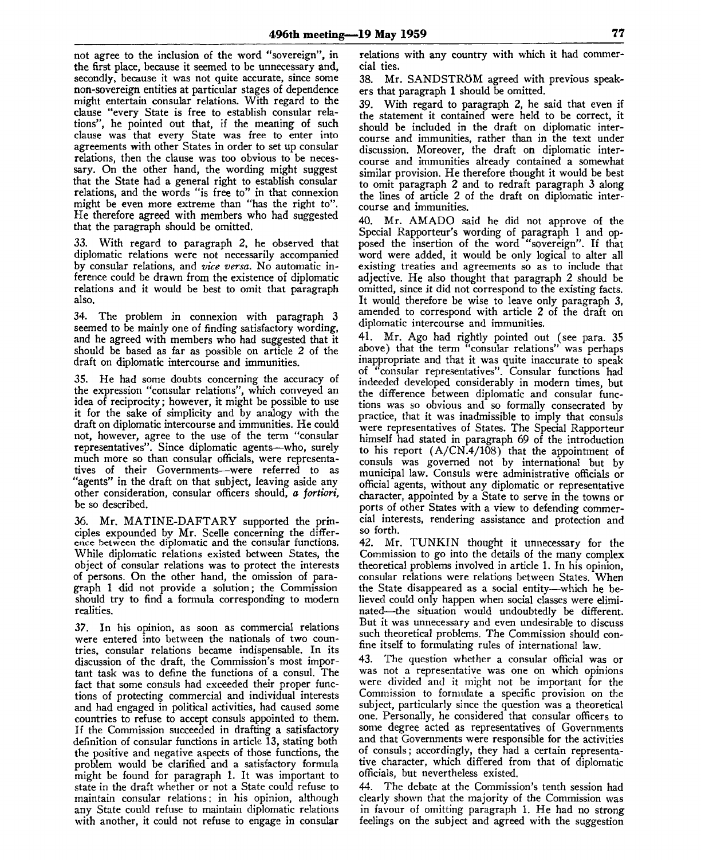not agree to the inclusion of the word "sovereign", in the first place, because it seemed to be unnecessary and, secondly, because it was not quite accurate, since some non-sovereign entities at particular stages of dependence might entertain consular relations. With regard to the clause "every State is free to establish consular relations", he pointed out that, if the meaning of such clause was that every State was free to enter into agreements with other States in order to set up consular relations, then the clause was too obvious to be necessary. On the other hand, the wording might suggest that the State had a general right to establish consular relations, and the words "is free to" in that connexion might be even more extreme than "has the right to". He therefore agreed with members who had suggested that the paragraph should be omitted.

*33.* With regard to paragraph 2, he observed that diplomatic relations were not necessarily accompanied by consular relations, and *vice versa.* No automatic inference could be drawn from the existence of diplomatic relations and it would be best to omit that paragraph also.

34. The problem in connexion with paragraph 3 seemed to be mainly one of finding satisfactory wording, and he agreed with members who had suggested that it should be based as far as possible on article 2 of the draft on diplomatic intercourse and immunities.

35. He had some doubts concerning the accuracy of the expression "consular relations", which conveyed an idea of reciprocity; however, it might be possible to use it for the sake of simplicity and by analogy with the draft on diplomatic intercourse and immunities. He could not, however, agree to the use of the term "consular representatives". Since diplomatic agents—who, surely much more so than consular officials, were representatives of their Governments—were referred to as "agents" in the draft on that subject, leaving aside any other consideration, consular officers should, *a fortiori,* be so described.

36. Mr. MATINE-DAFTARY supported the principles expounded by Mr. Scelle concerning the difference between the diplomatic and the consular functions. While diplomatic relations existed between States, the object of consular relations was to protect the interests of persons. On the other hand, the omission of paragraph 1 did not provide a solution; the Commission should try to find a formula corresponding to modern realities.

37. In his opinion, as soon as commercial relations were entered into between the nationals of two countries, consular relations became indispensable. In its discussion of the draft, the Commission's most important task was to define the functions of a consul. The fact that some consuls had exceeded their proper functions of protecting commercial and individual interests and had engaged in political activities, had caused some countries to refuse to accept consuls appointed to them. If the Commission succeeded in drafting a satisfactory definition of consular functions in article 13, stating both the positive and negative aspects of those functions, the problem would be clarified and a satisfactory formula might be found for paragraph 1. It was important to state in the draft whether or not a State could refuse to maintain consular relations: in his opinion, although any State could refuse to maintain diplomatic relations with another, it could not refuse to engage in consular

relations with any country with which it had commercial ties.

38. Mr. SANDSTRÖM agreed with previous speakers that paragraph 1 should be omitted.

39. With regard to paragraph 2, he said that even if the statement it contained were held to be correct, it should be included in the draft on diplomatic intercourse and immunities, rather than in the text under discussion. Moreover, the draft on diplomatic intercourse and immunities already contained a somewhat similar provision. He therefore thought it would be best to omit paragraph 2 and to redraft paragraph 3 along the lines of article 2 of the draft on diplomatic intercourse and immunities.

40. Mr. AMADO said he did not approve of the Special Rapporteur's wording of paragraph 1 and opposed the insertion of the word "sovereign". If that word were added, it would be only logical to alter all existing treaties and agreements so as to include that adjective. He also thought that paragraph 2 should be omitted, since it did not correspond to the existing facts. It would therefore be wise to leave only paragraph 3, amended to correspond with article 2 of the draft on diplomatic intercourse and immunities.

41. Mr. Ago had rightly pointed out (see para. 35 above) that the term "consular relations" was perhaps inappropriate and that it was quite inaccurate to speak of "consular representatives". Consular functions had indeeded developed considerably in modern times, but the difference between diplomatic and consular functions was so obvious and so formally consecrated by practice, that it was inadmissible to imply that consuls were representatives of States. The Special Rapporteur himself had stated in paragraph 69 of the introduction to his report  $(A/CN.4/108)$  that the appointment of consuls was governed not by international but by municipal law. Consuls were administrative officials or official agents, without any diplomatic or representative character, appointed by a State to serve in the towns or ports of other States with a view to defending commercial interests, rendering assistance and protection and so forth.

42. Mr. TUNKIN thought it unnecessary for the Commission to go into the details of the many complex theoretical problems involved in article 1. In his opinion, consular relations were relations between States. When the State disappeared as a social entity—which he believed could only happen when social classes were eliminated—the situation would undoubtedly be different. But it was unnecessary and even undesirable to discuss such theoretical problems. The Commission should confine itself to formulating rules of international law.

43. The question whether a consular official was or was not a representative was one on which opinions were divided and it might not be important for the Commission to formulate a specific provision on the subject, particularly since the question was a theoretical one. Personally, he considered that consular officers to some degree acted as representatives of Governments and that Governments were responsible for the activities of consuls; accordingly, they had a certain representative character, which differed from that of diplomatic officials, but nevertheless existed.

44. The debate at the Commission's tenth session had clearly shown that the majority of the Commission was in favour of omitting paragraph 1. He had no strong feelings on the subject and agreed with the suggestion